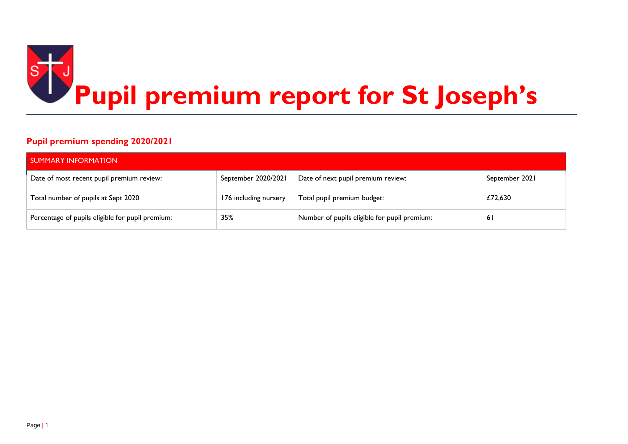

### **Pupil premium spending 2020/2021**

| <b>SUMMARY INFORMATION</b>                       |                       |                                              |                |  |  |  |  |
|--------------------------------------------------|-----------------------|----------------------------------------------|----------------|--|--|--|--|
| Date of most recent pupil premium review:        | September 2020/2021   | Date of next pupil premium review:           | September 2021 |  |  |  |  |
| Total number of pupils at Sept 2020              | 176 including nursery | Total pupil premium budget:                  | £72,630        |  |  |  |  |
| Percentage of pupils eligible for pupil premium: | 35%                   | Number of pupils eligible for pupil premium: | 61             |  |  |  |  |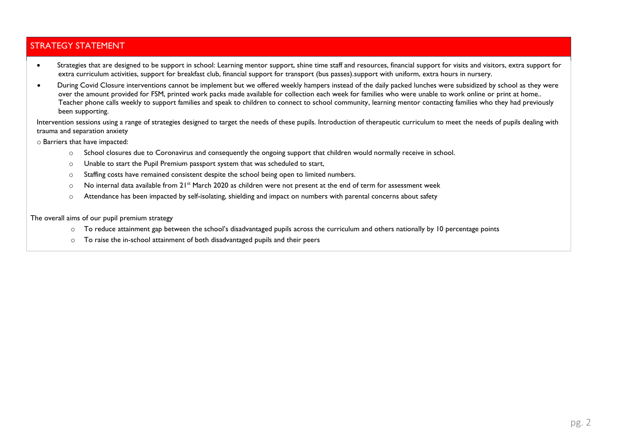### STRATEGY STATEMENT

- Strategies that are designed to be support in school: Learning mentor support, shine time staff and resources, financial support for visits and visitors, extra support for extra curriculum activities, support for breakfast club, financial support for transport (bus passes).support with uniform, extra hours in nursery.
- During Covid Closure interventions cannot be implement but we offered weekly hampers instead of the daily packed lunches were subsidized by school as they were over the amount provided for FSM, printed work packs made available for collection each week for families who were unable to work online or print at home.. Teacher phone calls weekly to support families and speak to children to connect to school community, learning mentor contacting families who they had previously been supporting.

Intervention sessions using a range of strategies designed to target the needs of these pupils. Introduction of therapeutic curriculum to meet the needs of pupils dealing with trauma and separation anxiety

o Barriers that have impacted:

- o School closures due to Coronavirus and consequently the ongoing support that children would normally receive in school.
- o Unable to start the Pupil Premium passport system that was scheduled to start,
- o Staffing costs have remained consistent despite the school being open to limited numbers.
- $\circ$  No internal data available from 21<sup>st</sup> March 2020 as children were not present at the end of term for assessment week
- o Attendance has been impacted by self-isolating, shielding and impact on numbers with parental concerns about safety

The overall aims of our pupil premium strategy

- $\circ$  To reduce attainment gap between the school's disadvantaged pupils across the curriculum and others nationally by 10 percentage points
- o To raise the in-school attainment of both disadvantaged pupils and their peers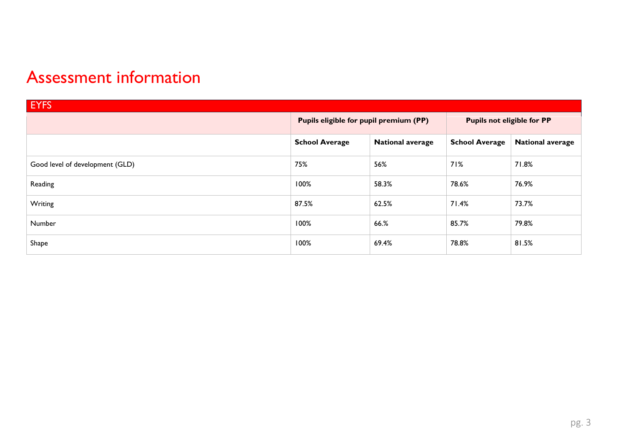# Assessment information

| <b>EYFS</b>                     |                                                  |                                        |                       |                                   |  |  |
|---------------------------------|--------------------------------------------------|----------------------------------------|-----------------------|-----------------------------------|--|--|
|                                 |                                                  | Pupils eligible for pupil premium (PP) |                       | <b>Pupils not eligible for PP</b> |  |  |
|                                 | <b>School Average</b><br><b>National average</b> |                                        | <b>School Average</b> | <b>National average</b>           |  |  |
| Good level of development (GLD) | 75%                                              | 56%                                    | 71%                   | 71.8%                             |  |  |
| Reading                         | 100%                                             | 58.3%                                  | 78.6%                 | 76.9%                             |  |  |
| Writing                         | 87.5%                                            | 62.5%                                  | 71.4%                 | 73.7%                             |  |  |
| Number                          | 100%                                             | 66.%                                   | 85.7%                 | 79.8%                             |  |  |
| Shape                           | 100%                                             | 69.4%                                  | 78.8%                 | 81.5%                             |  |  |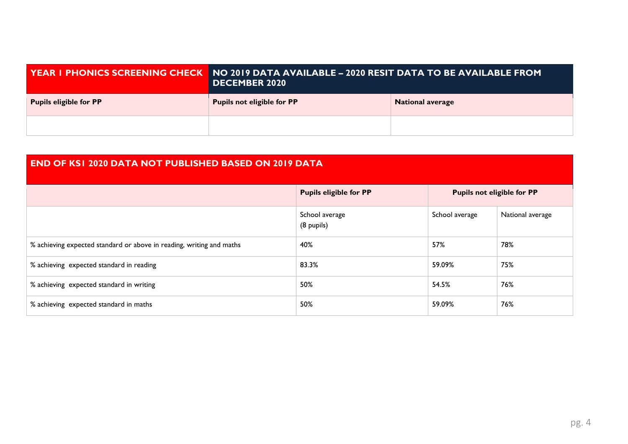|                               | YEAR I PHONICS SCREENING CHECK   NO 2019 DATA AVAILABLE – 2020 RESIT DATA TO BE AVAILABLE FROM<br><b>DECEMBER 2020</b> |                         |  |  |  |
|-------------------------------|------------------------------------------------------------------------------------------------------------------------|-------------------------|--|--|--|
| <b>Pupils eligible for PP</b> | <b>Pupils not eligible for PP</b>                                                                                      | <b>National average</b> |  |  |  |
|                               |                                                                                                                        |                         |  |  |  |

# **END OF KS1 2020 DATA NOT PUBLISHED BASED ON 2019 DATA**

|                                                                      | <b>Pupils eligible for PP</b> | <b>Pupils not eligible for PP</b> |                  |
|----------------------------------------------------------------------|-------------------------------|-----------------------------------|------------------|
|                                                                      | School average<br>(8 pupils)  | School average                    | National average |
| % achieving expected standard or above in reading, writing and maths | 40%                           | 57%                               | 78%              |
| % achieving expected standard in reading                             | 83.3%                         | 59.09%                            | 75%              |
| % achieving expected standard in writing                             | 50%                           | 54.5%                             | 76%              |
| % achieving expected standard in maths                               | 50%                           | 59.09%                            | 76%              |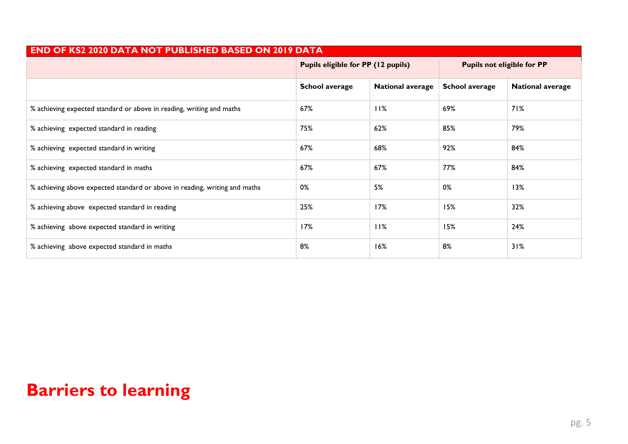| <b>END OF KS2 2020 DATA NOT PUBLISHED BASED ON 2019 DATA</b>               |                                    |                         |                                   |                         |  |  |
|----------------------------------------------------------------------------|------------------------------------|-------------------------|-----------------------------------|-------------------------|--|--|
|                                                                            | Pupils eligible for PP (12 pupils) |                         | <b>Pupils not eligible for PP</b> |                         |  |  |
|                                                                            | <b>School average</b>              | <b>National average</b> | <b>School average</b>             | <b>National average</b> |  |  |
| % achieving expected standard or above in reading, writing and maths       | 67%                                | 11%                     | 69%                               | 71%                     |  |  |
| % achieving expected standard in reading                                   | 75%                                | 62%                     | 85%                               | 79%                     |  |  |
| % achieving expected standard in writing                                   | 67%                                | 68%                     | 92%                               | 84%                     |  |  |
| % achieving expected standard in maths                                     | 67%                                | 67%                     | 77%                               | 84%                     |  |  |
| % achieving above expected standard or above in reading, writing and maths | 0%                                 | 5%                      | 0%                                | 13%                     |  |  |
| % achieving above expected standard in reading                             | 25%                                | 17%                     | 15%                               | 32%                     |  |  |
| % achieving above expected standard in writing                             | 17%                                | 11%                     | 15%                               | 24%                     |  |  |
| % achieving above expected standard in maths                               | 8%                                 | 16%                     | 8%                                | 31%                     |  |  |

# **Barriers to learning**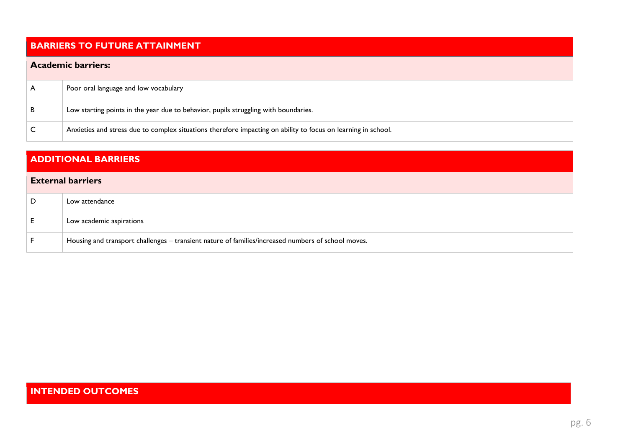# **BARRIERS TO FUTURE ATTAINMENT**

#### **Academic barriers:**

| A | Poor oral language and low vocabulary                                                                         |
|---|---------------------------------------------------------------------------------------------------------------|
| B | Low starting points in the year due to behavior, pupils struggling with boundaries.                           |
|   | Anxieties and stress due to complex situations therefore impacting on ability to focus on learning in school. |

# **ADDITIONAL BARRIERS**

#### **External barriers**

| D  | Low attendance                                                                                     |
|----|----------------------------------------------------------------------------------------------------|
| E. | Low academic aspirations                                                                           |
|    | Housing and transport challenges - transient nature of families/increased numbers of school moves. |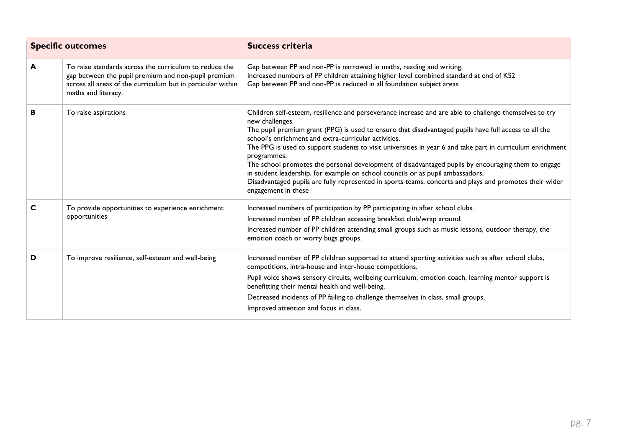|   | <b>Specific outcomes</b>                                                                                                                                                                            | <b>Success criteria</b>                                                                                                                                                                                                                                                                                                                                                                                                                                                                                                                                                                                                                                                                                                                           |
|---|-----------------------------------------------------------------------------------------------------------------------------------------------------------------------------------------------------|---------------------------------------------------------------------------------------------------------------------------------------------------------------------------------------------------------------------------------------------------------------------------------------------------------------------------------------------------------------------------------------------------------------------------------------------------------------------------------------------------------------------------------------------------------------------------------------------------------------------------------------------------------------------------------------------------------------------------------------------------|
| A | To raise standards across the curriculum to reduce the<br>gap between the pupil premium and non-pupil premium<br>across all areas of the curriculum but in particular within<br>maths and literacy. | Gap between PP and non-PP is narrowed in maths, reading and writing.<br>Increased numbers of PP children attaining higher level combined standard at end of KS2<br>Gap between PP and non-PP is reduced in all foundation subject areas                                                                                                                                                                                                                                                                                                                                                                                                                                                                                                           |
| В | To raise aspirations                                                                                                                                                                                | Children self-esteem, resilience and perseverance increase and are able to challenge themselves to try<br>new challenges.<br>The pupil premium grant (PPG) is used to ensure that disadvantaged pupils have full access to all the<br>school's enrichment and extra-curricular activities.<br>The PPG is used to support students to visit universities in year 6 and take part in curriculum enrichment<br>programmes.<br>The school promotes the personal development of disadvantaged pupils by encouraging them to engage<br>in student leadership, for example on school councils or as pupil ambassadors.<br>Disadvantaged pupils are fully represented in sports teams, concerts and plays and promotes their wider<br>engagement in these |
| C | To provide opportunities to experience enrichment<br>opportunities                                                                                                                                  | Increased numbers of participation by PP participating in after school clubs.<br>Increased number of PP children accessing breakfast club/wrap around.<br>Increased number of PP children attending small groups such as music lessons, outdoor therapy, the<br>emotion coach or worry bugs groups.                                                                                                                                                                                                                                                                                                                                                                                                                                               |
| D | To improve resilience, self-esteem and well-being                                                                                                                                                   | Increased number of PP children supported to attend sporting activities such as after school clubs,<br>competitions, intra-house and inter-house competitions.<br>Pupil voice shows sensory circuits, wellbeing curriculum, emotion coach, learning mentor support is<br>benefitting their mental health and well-being.<br>Decreased incidents of PP failing to challenge themselves in class, small groups.<br>Improved attention and focus in class.                                                                                                                                                                                                                                                                                           |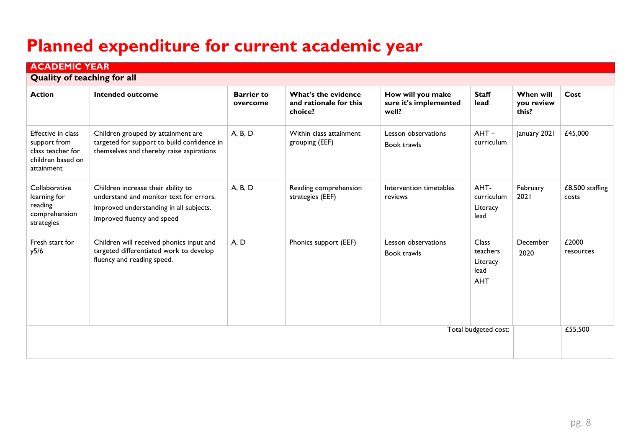# **Planned expenditure for current academic year**

| <b>ACADEMIC YEAR</b><br><b>Quality of teaching for all</b>                                 |                                                                                                                                                        |                               |                                                          |                                                     |                                                            |                                         |                          |
|--------------------------------------------------------------------------------------------|--------------------------------------------------------------------------------------------------------------------------------------------------------|-------------------------------|----------------------------------------------------------|-----------------------------------------------------|------------------------------------------------------------|-----------------------------------------|--------------------------|
| <b>Action</b>                                                                              | Intended outcome                                                                                                                                       | <b>Barrier to</b><br>overcome | What's the evidence<br>and rationale for this<br>choice? | How will you make<br>sure it's implemented<br>well? | <b>Staff</b><br>lead                                       | <b>When will</b><br>you review<br>this? | Cost                     |
| Effective in class<br>support from<br>class teacher for<br>children based on<br>attainment | Children grouped by attainment are<br>targeted for support to build confidence in<br>themselves and thereby raise aspirations                          | A, B, D                       | Within class attainment<br>grouping (EEF)                | Lesson observations<br>Book trawls                  | $AHT -$<br>curriculum                                      | January 2021                            | £45,000                  |
| Collaborative<br>learning for<br>reading<br>comprehension<br>strategies                    | Children increase their ability to<br>understand and monitor text for errors.<br>Improved understanding in all subjects.<br>Improved fluency and speed | A, B, D                       | Reading comprehension<br>strategies (EEF)                | Intervention timetables<br>reviews                  | AHT-<br>curriculum<br>Literacy<br>lead                     | February<br>2021                        | £8,500 staffing<br>costs |
| Fresh start for<br>y5/6                                                                    | Children will received phonics input and<br>targeted differentiated work to develop<br>fluency and reading speed.                                      | A, D                          | Phonics support (EEF)                                    | Lesson observations<br>Book trawls                  | <b>Class</b><br>teachers<br>Literacy<br>lead<br><b>AHT</b> | December<br>2020                        | £2000<br>resources       |
| Total budgeted cost:                                                                       |                                                                                                                                                        |                               |                                                          |                                                     |                                                            |                                         | £55,500                  |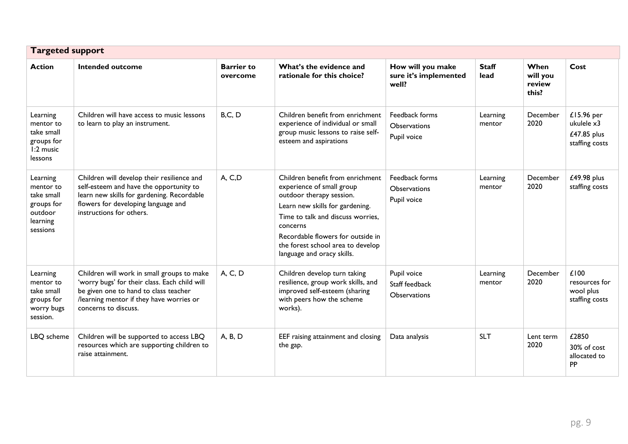| <b>Targeted support</b>                                                              |                                                                                                                                                                                                          |                               |                                                                                                                                                                                                                                                                                       |                                                      |                      |                                     |                                                           |
|--------------------------------------------------------------------------------------|----------------------------------------------------------------------------------------------------------------------------------------------------------------------------------------------------------|-------------------------------|---------------------------------------------------------------------------------------------------------------------------------------------------------------------------------------------------------------------------------------------------------------------------------------|------------------------------------------------------|----------------------|-------------------------------------|-----------------------------------------------------------|
| <b>Action</b>                                                                        | <b>Intended outcome</b>                                                                                                                                                                                  | <b>Barrier to</b><br>overcome | What's the evidence and<br>rationale for this choice?                                                                                                                                                                                                                                 | How will you make<br>sure it's implemented<br>well?  | <b>Staff</b><br>lead | When<br>will you<br>review<br>this? | Cost                                                      |
| Learning<br>mentor to<br>take small<br>groups for<br>1:2 music<br>lessons            | Children will have access to music lessons<br>to learn to play an instrument.                                                                                                                            | B, C, D                       | Children benefit from enrichment<br>experience of individual or small<br>group music lessons to raise self-<br>esteem and aspirations                                                                                                                                                 | Feedback forms<br><b>Observations</b><br>Pupil voice | Learning<br>mentor   | December<br>2020                    | £15.96 per<br>ukulele x3<br>£47.85 plus<br>staffing costs |
| Learning<br>mentor to<br>take small<br>groups for<br>outdoor<br>learning<br>sessions | Children will develop their resilience and<br>self-esteem and have the opportunity to<br>learn new skills for gardening. Recordable<br>flowers for developing language and<br>instructions for others.   | A, C,D                        | Children benefit from enrichment<br>experience of small group<br>outdoor therapy session.<br>Learn new skills for gardening.<br>Time to talk and discuss worries,<br>concerns<br>Recordable flowers for outside in<br>the forest school area to develop<br>language and oracy skills. | Feedback forms<br><b>Observations</b><br>Pupil voice | Learning<br>mentor   | December<br>2020                    | £49.98 plus<br>staffing costs                             |
| Learning<br>mentor to<br>take small<br>groups for<br>worry bugs<br>session.          | Children will work in small groups to make<br>'worry bugs' for their class. Each child will<br>be given one to hand to class teacher<br>/learning mentor if they have worries or<br>concerns to discuss. | A, C, D                       | Children develop turn taking<br>resilience, group work skills, and<br>improved self-esteem (sharing<br>with peers how the scheme<br>works).                                                                                                                                           | Pupil voice<br>Staff feedback<br><b>Observations</b> | Learning<br>mentor   | December<br>2020                    | £100<br>resources for<br>wool plus<br>staffing costs      |
| LBQ scheme                                                                           | Children will be supported to access LBQ<br>resources which are supporting children to<br>raise attainment.                                                                                              | A, B, D                       | EEF raising attainment and closing<br>the gap.                                                                                                                                                                                                                                        | Data analysis                                        | <b>SLT</b>           | Lent term<br>2020                   | £2850<br>30% of cost<br>allocated to<br><b>PP</b>         |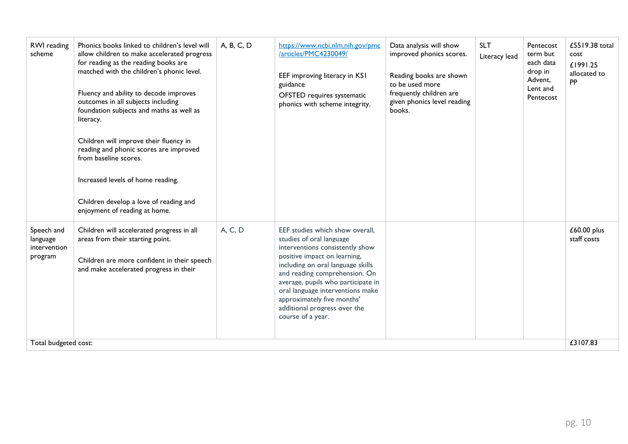| RWI reading<br>scheme                                                     | Phonics books linked to children's level will<br>allow children to make accelerated progress<br>for reading as the reading books are<br>matched with the children's phonic level.<br>Fluency and ability to decode improves<br>outcomes in all subjects including<br>foundation subjects and maths as well as<br>literacy.<br>Children will improve their fluency in<br>reading and phonic scores are improved<br>from baseline scores.<br>Increased levels of home reading.<br>Children develop a love of reading and<br>enjoyment of reading at home. | A, B, C, D | https://www.ncbi.nlm.nih.gov/pmc<br>/articles/PMC4230049/<br>EEF improving literacy in KS1<br>guidance<br>OFSTED requires systematic<br>phonics with scheme integrity.                                                                                                                                                                                            | Data analysis will show<br>improved phonics scores.<br>Reading books are shown<br>to be used more<br>frequently children are<br>given phonics level reading<br>books. | <b>SLT</b><br>Literacy lead | Pentecost<br>term but<br>each data<br>drop in<br>Advent,<br>Lent and<br>Pentecost | £5519.38 total<br>cost<br>£1991.25<br>allocated to<br>PP |
|---------------------------------------------------------------------------|---------------------------------------------------------------------------------------------------------------------------------------------------------------------------------------------------------------------------------------------------------------------------------------------------------------------------------------------------------------------------------------------------------------------------------------------------------------------------------------------------------------------------------------------------------|------------|-------------------------------------------------------------------------------------------------------------------------------------------------------------------------------------------------------------------------------------------------------------------------------------------------------------------------------------------------------------------|-----------------------------------------------------------------------------------------------------------------------------------------------------------------------|-----------------------------|-----------------------------------------------------------------------------------|----------------------------------------------------------|
| Speech and<br>language<br>intervention<br>program<br>Total budgeted cost: | Children will accelerated progress in all<br>areas from their starting point.<br>Children are more confident in their speech<br>and make accelerated progress in their                                                                                                                                                                                                                                                                                                                                                                                  | A, C, D    | EEF studies which show overall,<br>studies of oral language<br>interventions consistently show<br>positive impact on learning,<br>including on oral language skills<br>and reading comprehension. On<br>average, pupils who participate in<br>oral language interventions make<br>approximately five months'<br>additional progress over the<br>course of a year. |                                                                                                                                                                       |                             |                                                                                   | £60.00 plus<br>staff costs<br>£3107.83                   |
|                                                                           |                                                                                                                                                                                                                                                                                                                                                                                                                                                                                                                                                         |            |                                                                                                                                                                                                                                                                                                                                                                   |                                                                                                                                                                       |                             |                                                                                   |                                                          |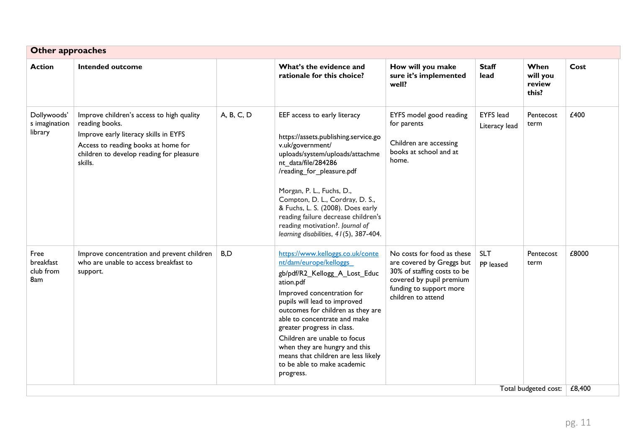| <b>Other approaches</b>                 |                                                                                                                                                                                                    |            |                                                                                                                                                                                                                                                                                                                                                                                                                               |                                                                                                                                                                     |                                   |                                     |        |
|-----------------------------------------|----------------------------------------------------------------------------------------------------------------------------------------------------------------------------------------------------|------------|-------------------------------------------------------------------------------------------------------------------------------------------------------------------------------------------------------------------------------------------------------------------------------------------------------------------------------------------------------------------------------------------------------------------------------|---------------------------------------------------------------------------------------------------------------------------------------------------------------------|-----------------------------------|-------------------------------------|--------|
| <b>Action</b>                           | <b>Intended outcome</b>                                                                                                                                                                            |            | What's the evidence and<br>rationale for this choice?                                                                                                                                                                                                                                                                                                                                                                         | How will you make<br>sure it's implemented<br>well?                                                                                                                 | <b>Staff</b><br>lead              | When<br>will you<br>review<br>this? | Cost   |
| Dollywoods'<br>s imagination<br>library | Improve children's access to high quality<br>reading books.<br>Improve early literacy skills in EYFS<br>Access to reading books at home for<br>children to develop reading for pleasure<br>skills. | A, B, C, D | EEF access to early literacy<br>https://assets.publishing.service.go<br>v.uk/government/<br>uploads/system/uploads/attachme<br>nt data/file/284286<br>/reading_for_pleasure.pdf<br>Morgan, P. L., Fuchs, D.,<br>Compton, D. L., Cordray, D. S.,<br>& Fuchs, L. S. (2008). Does early<br>reading failure decrease children's<br>reading motivation?. Journal of<br>learning disabilities, 41(5), 387-404.                      | EYFS model good reading<br>for parents<br>Children are accessing<br>books at school and at<br>home.                                                                 | <b>EYFS</b> lead<br>Literacy lead | Pentecost<br>term                   | £400   |
| Free<br>breakfast<br>club from<br>8am   | Improve concentration and prevent children<br>who are unable to access breakfast to<br>support.                                                                                                    | B,D        | https://www.kelloggs.co.uk/conte<br>nt/dam/europe/kelloggs<br>gb/pdf/R2_Kellogg_A_Lost_Educ<br>ation.pdf<br>Improved concentration for<br>pupils will lead to improved<br>outcomes for children as they are<br>able to concentrate and make<br>greater progress in class.<br>Children are unable to focus<br>when they are hungry and this<br>means that children are less likely<br>to be able to make academic<br>progress. | No costs for food as these<br>are covered by Greggs but<br>30% of staffing costs to be<br>covered by pupil premium<br>funding to support more<br>children to attend | <b>SLT</b><br>PP leased           | Pentecost<br>term                   | £8000  |
|                                         |                                                                                                                                                                                                    |            |                                                                                                                                                                                                                                                                                                                                                                                                                               |                                                                                                                                                                     |                                   | Total budgeted cost:                | £8,400 |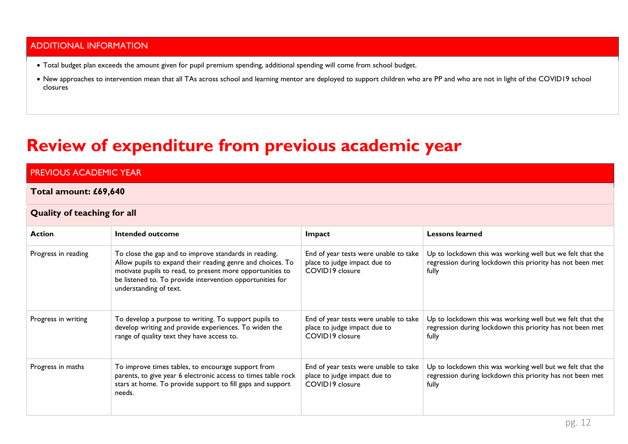### ADDITIONAL INFORMATION

- Total budget plan exceeds the amount given for pupil premium spending, additional spending will come from school budget.
- New approaches to intervention mean that all TAs across school and learning mentor are deployed to support children who are PP and who are not in light of the COVID19 school closures

# **Review of expenditure from previous academic year**

# PREVIOUS ACADEMIC YEAR

#### **Total amount: £69,640**

#### **Quality of teaching for all**

| <b>Action</b>       | Intended outcome                                                                                                                                                                                                                                                        | Impact                                                                                   | <b>Lessons learned</b>                                                                                                          |  |  |
|---------------------|-------------------------------------------------------------------------------------------------------------------------------------------------------------------------------------------------------------------------------------------------------------------------|------------------------------------------------------------------------------------------|---------------------------------------------------------------------------------------------------------------------------------|--|--|
| Progress in reading | To close the gap and to improve standards in reading.<br>Allow pupils to expand their reading genre and choices. To<br>motivate pupils to read, to present more opportunities to<br>be listened to. To provide intervention opportunities for<br>understanding of text. | End of year tests were unable to take<br>place to judge impact due to<br>COVID19 closure | Up to lockdown this was working well but we felt that the<br>regression during lockdown this priority has not been met<br>fully |  |  |
| Progress in writing | To develop a purpose to writing. To support pupils to<br>develop writing and provide experiences. To widen the<br>range of quality text they have access to.                                                                                                            | End of year tests were unable to take<br>place to judge impact due to<br>COVID19 closure | Up to lockdown this was working well but we felt that the<br>regression during lockdown this priority has not been met<br>fully |  |  |
| Progress in maths   | To improve times tables, to encourage support from<br>parents, to give year 6 electronic access to times table rock<br>stars at home. To provide support to fill gaps and support<br>needs.                                                                             | End of year tests were unable to take<br>place to judge impact due to<br>COVID19 closure | Up to lockdown this was working well but we felt that the<br>regression during lockdown this priority has not been met<br>fully |  |  |